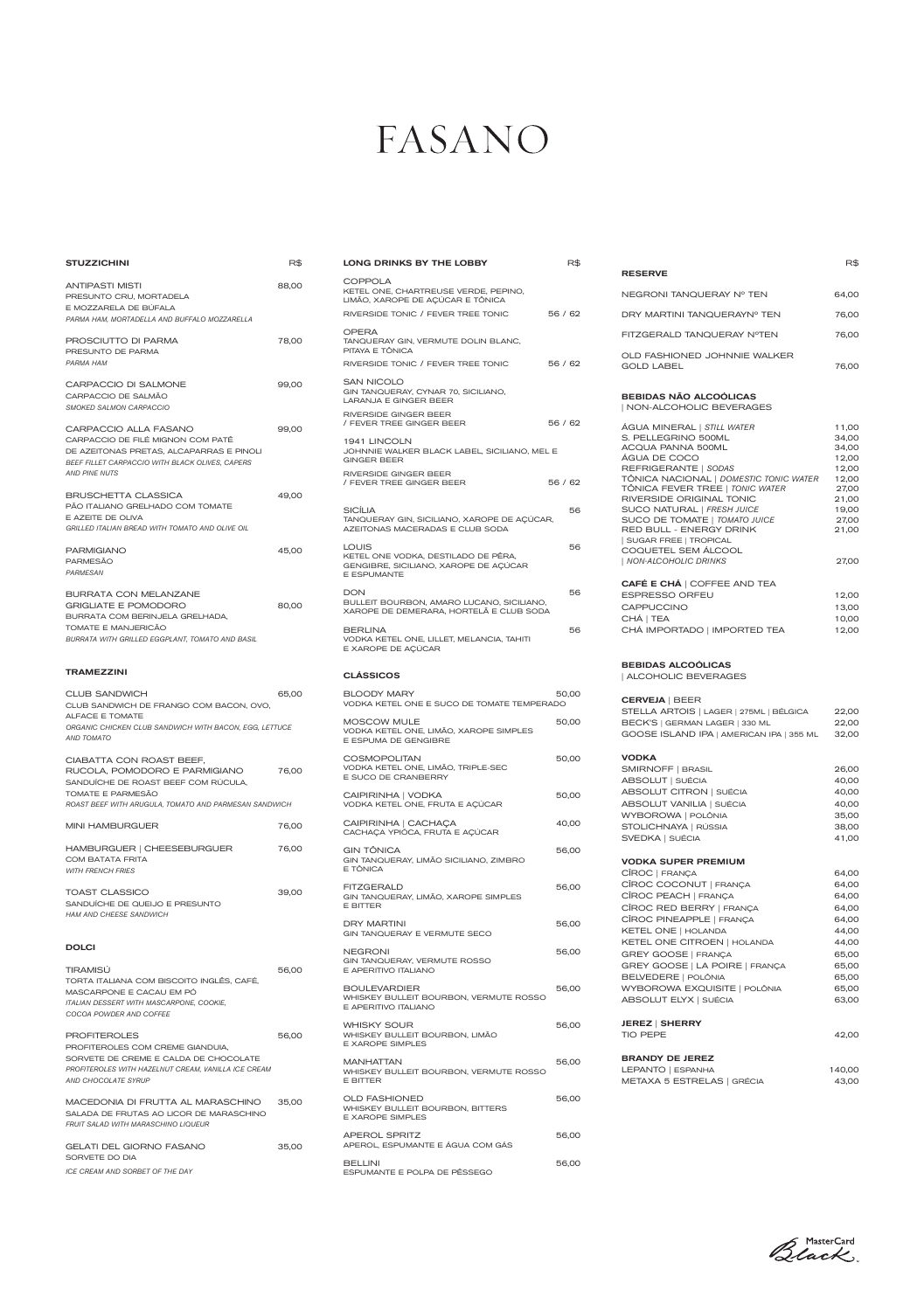# FASANO

LONG DRINKS BY THE LOBBY R\$

| <b>STUZZICHINI</b>                                                                                                                                                                | R\$   |
|-----------------------------------------------------------------------------------------------------------------------------------------------------------------------------------|-------|
| <b>ANTIPASTI MISTI</b><br>PRESUNTO CRU, MORTADELA<br>E MOZZARELA DE BÚFALA<br>PARMA HAM, MORTADELLA AND BUFFALO MOZZARELLA                                                        | 88,00 |
| PROSCIUTTO DI PARMA<br>PRESUNTO DE PARMA<br>PARMA HAM                                                                                                                             | 78,00 |
| <b>CARPACCIO DI SALMONE</b><br>CARPACCIO DE SALMÃO<br><b>SMOKED SALMON CARPACCIO</b>                                                                                              | 99,00 |
| CARPACCIO ALLA FASANO<br>CARPACCIO DE FILÉ MIGNON COM PATÊ<br>DE AZEITONAS PRETAS, ALCAPARRAS E PINOLI<br>BEEF FILLET CARPACCIO WITH BLACK OLIVES, CAPERS<br><b>AND PINE NUTS</b> | 99,00 |
| <b>BRUSCHETTA CLASSICA</b><br>PÃO ITALIANO GRELHADO COM TOMATE<br>E AZEITE DE OLIVA<br><b>GRILLED ITALIAN BREAD WITH TOMATO AND OLIVE OIL</b>                                     | 49,00 |
| <b>PARMIGIANO</b><br><b>PARMESÃO</b><br>PARMESAN                                                                                                                                  | 45,00 |
| <b>BURRATA CON MELANZANE</b><br><b>GRIGLIATE E POMODORO</b><br>BURRATA COM BERINJELA GRELHADA,<br>TOMATE E MANJERICÃO<br>BURRATA WITH GRILLED EGGPLANT, TOMATO AND BASIL          | 80,00 |
| <b>TRAMEZZINI</b>                                                                                                                                                                 |       |
| <b>CLUB SANDWICH</b><br>CLUB SANDWICH DE FRANGO COM BACON, OVO,<br>ALFACE E TOMATE                                                                                                | 65,00 |
| ORGANIC CHICKEN CLUB SANDWICH WITH BACON, EGG, LETTUCE<br><b>AND TOMATO</b>                                                                                                       |       |
| CIABATTA CON ROAST BEEF,<br>RUCOLA, POMODORO E PARMIGIANO<br>SANDUÍCHE DE ROAST BEEF COM RÚCULA,<br>TOMATE E PARMESÃO<br>ROAST BEEF WITH ARUGULA, TOMATO AND PARMESAN SANDWICH    | 76,00 |
| <b>MINI HAMBURGUER</b>                                                                                                                                                            | 76,00 |
| HAMBURGUER   CHEESEBURGUER<br><b>COM BATATA FRITA</b><br><b>WITH FRENCH FRIES</b>                                                                                                 | 76,00 |
| <b>TOAST CLASSICO</b><br>SANDUICHE DE QUEIJO E PRESUNTO<br><b>HAM AND CHEESE SANDWICH</b>                                                                                         | 39,00 |

PROFITEROLES 56,00 PROFITEROLES COM CREME GIANDUIA, SORVETE DE CREME E CALDA DE CHOCOLATE *PROFITEROLES WITH HAZELNUT CREAM, VANILLA ICE CREAM AND CHOCOLATE SYRUP*

DOLCI

| TIRAMISÚ                                        | 56.00 |
|-------------------------------------------------|-------|
| TORTA ITALIANA COM BISCOITO INGLÊS, CAFÉ,       |       |
| MASCARPONE E CACAU EM PÓ                        |       |
| <b>ITALIAN DESSERT WITH MASCARPONE, COOKIE.</b> |       |
| COCOA POWDER AND COFFEE                         |       |
|                                                 |       |

MACEDONIA DI FRUTTA AL MARASCHINO 35,00 SALADA DE FRUTAS AO LICOR DE MARASCHINO *FRUIT SALAD WITH MARASCHINO LIQUEUR* 

| GELATI DEL GIORNO FASANO        | 35.00 |
|---------------------------------|-------|
| SORVETE DO DIA                  |       |
| ICE CREAM AND SORBET OF THE DAY |       |

| COPPOLA<br>KETEL ONE, CHARTREUSE VERDE, PEPINO,<br>LIMÃO, XAROPE DE AÇÚCAR E TÔNICA                  |         |
|------------------------------------------------------------------------------------------------------|---------|
| RIVERSIDE TONIC / FEVER TREE TONIC<br>OPERA                                                          | 56 / 62 |
| TANQUERAY GIN, VERMUTE DOLIN BLANC,<br>PITAYA E TÔNICA                                               |         |
| RIVERSIDE TONIC / FEVER TREE TONIC                                                                   | 56 / 62 |
| SAN NICOLO<br>GIN TANQUERAY, CYNAR 70, SICILIANO,<br><b>LARANJA E GINGER BEER</b>                    |         |
| RIVERSIDE GINGER BEER<br>/ FEVER TREE GINGER BEER                                                    | 56 / 62 |
| 1941 LINCOLN<br>JOHNNIE WALKER BLACK LABEL, SICILIANO, MEL E<br><b>GINGER BEER</b>                   |         |
| RIVERSIDE GINGER BEER<br>/ FEVER TREE GINGER BEER                                                    | 56 / 62 |
| SICÍLIA<br>TANQUERAY GIN, SICILIANO, XAROPE DE AÇÚCAR,<br>AZEITONAS MACERADAS E CLUB SODA            | 56      |
| LOUIS<br>KETEL ONE VODKA, DESTILADO DE PÊRA,<br>GENGIBRE, SICILIANO, XAROPE DE AÇÚCAR<br>E ESPUMANTE | 56      |
| DON<br>BULLEIT BOURBON, AMARO LUCANO, SICILIANO,<br>XAROPE DE DEMERARA, HORTELÃ E CLUB SODA          | 56      |
| <b>BERLINA</b><br>VODKA KETEL ONE, LILLET, MELANCIA, TAHITI<br>E XAROPE DE AÇÚCAR                    | 56      |
| <b>CLÁSSICOS</b>                                                                                     |         |
| <b>BLOODY MARY</b><br>VODKA KETEL ONE E SUCO DE TOMATE TEMPERADO                                     | 50,00   |
| MOSCOW MULE<br>VODKA KETEL ONE, LIMÃO, XAROPE SIMPLES<br>E ESPUMA DE GENGIBRE                        | 50,00   |
| COSMOPOLITAN<br>VODKA KETEL ONE, LIMÃO, TRIPLE-SEC<br>E SUCO DE CRANBERRY                            | 50,00   |
| CAIPIRINHA   VODKA<br>VODKA KETEL ONE, FRUTA E AÇÚCAR                                                | 50,00   |
| CAIPIRINHA   CACHAÇA<br>CACHAÇA YPIÓCA, FRUTA E AÇÚCAR                                               | 40,00   |
| GIN TÔNICA<br>GIN TANQUERAY, LIMÃO SICILIANO, ZIMBRO<br>E TÔNICA                                     | 56,00   |
| FITZGERALD<br>GIN TANQUERAY, LIMÃO, XAROPE SIMPLES<br>E BITTER                                       | 56,00   |
| <b>DRY MARTINI</b><br>GIN TANQUERAY E VERMUTE SECO                                                   | 56,00   |
| NEGRONI<br>GIN TANQUERAY, VERMUTE ROSSO<br>E APERITIVO ITALIANO                                      | 56,00   |
| <b>BOULEVARDIER</b><br>WHISKEY BULLEIT BOURBON, VERMUTE ROSSO<br>E APERITIVO ITALIANO                | 56,00   |
| <b>WHISKY SOUR</b><br>WHISKEY BULLEIT BOURBON, LIMÃO<br><b>E XAROPE SIMPLES</b>                      | 56,00   |
| <b>MANHATTAN</b><br>WHISKEY BULLEIT BOURBON, VERMUTE ROSSO<br>E BITTER                               | 56,00   |
| <b>OLD FASHIONED</b><br>WHISKEY BULLEIT BOURBON, BITTERS<br><b>E XAROPE SIMPLES</b>                  | 56,00   |
| <b>APEROL SPRITZ</b><br>APEROL, ESPUMANTE E ÁGUA COM GÁS                                             | 56,00   |
| <b>BELLINI</b><br>ESPUMANTE E POLPA DE PÊSSEGO                                                       | 56,00   |

|                                             | R\$   |
|---------------------------------------------|-------|
| <b>RESERVE</b>                              |       |
| NEGRONI TANQUERAY Nº TEN                    | 64,00 |
| DRY MARTINI TANOUERAYN <sup>®</sup> TEN     | 76,00 |
| FITZGERALD TANOUERAY NºTEN                  | 76.00 |
| OLD FASHIONED JOHNNIF WAI KER<br>GOLD LABEL | 76.00 |

#### BEBIDAS NÃO ALCOÓLICAS | NON-ALCOHOLIC BEVERAGES

| ÁGUA MINERAL   STILL WATER<br>S. PELLEGRINO 500ML<br>ACQUA PANNA 500ML<br>ÁGUA DE COCO<br>REFRIGERANTE   SODAS<br>TÔNICA NACIONAL   DOMESTIC TONIC WATER<br>TÔNICA FEVER TREE   TONIC WATER<br>RIVERSIDE ORIGINAL TONIC<br>SUCO NATURAL   FRESH JUICE<br>SUCO DE TOMATE   TOMATO JUICE<br>RED BULL - ENERGY DRINK<br>  SUGAR FREE   TROPICAL<br>COQUETEL SEM ÁLCOOL<br>  NON-ALCOHOLIC DRINKS | 11,00<br>34,00<br>34,00<br>12,00<br>12,00<br>12,00<br>27,00<br>21,00<br>19,00<br>27,00<br>21,00<br>27,00 |
|-----------------------------------------------------------------------------------------------------------------------------------------------------------------------------------------------------------------------------------------------------------------------------------------------------------------------------------------------------------------------------------------------|----------------------------------------------------------------------------------------------------------|
| <b>CAFÉ E CHÁ   COFFEE AND TEA</b><br><b>ESPRESSO ORFEU</b><br><b>CAPPUCCINO</b><br>CHÁ   TEA<br>CHÁ IMPORTADO   IMPORTED TEA                                                                                                                                                                                                                                                                 | 12,00<br>13,00<br>10,00<br>12,00                                                                         |
| <b>BEBIDAS ALCOÓLICAS</b><br>  ALCOHOLIC BEVERAGES                                                                                                                                                                                                                                                                                                                                            |                                                                                                          |
| <b>CERVEJA   BEER</b><br>STELLA ARTOIS   LAGER   275ML   BÉLGICA<br>BECK'S   GERMAN LAGER   330 ML<br>GOOSE ISLAND IPA   AMERICAN IPA   355 ML                                                                                                                                                                                                                                                | 22,00<br>22,00<br>32,00                                                                                  |
| <b>VODKA</b><br>SMIRNOFF   BRASIL<br>ABSOLUT   SUÉCIA<br>ABSOLUT CITRON   SUÉCIA<br>ABSOLUT VANILIA   SUÉCIA<br>WYBOROWA   POLÔNIA<br>STOLICHNAYA   RÚSSIA<br>SVEDKA   SUÉCIA                                                                                                                                                                                                                 | 26,00<br>40,00<br>40,00<br>40,00<br>35,00<br>38,00<br>41,00                                              |
| <b>VODKA SUPER PREMIUM</b><br>CÎROC   FRANÇA<br>CÎROC COCONUT   FRANÇA<br>CÎROC PEACH   FRANÇA<br>CÎROC RED BERRY   FRANÇA<br>CÎROC PINEAPPLE   FRANÇA<br>KETEL ONE   HOLANDA                                                                                                                                                                                                                 | 64,00<br>64,00<br>64,00<br>64,00<br>64,00<br>44,00                                                       |
| KETEL ONE CITROEN   HOLANDA                                                                                                                                                                                                                                                                                                                                                                   | 44,00                                                                                                    |

| <b>GREY GOOSE   FRANÇA</b>     | 65,00 |
|--------------------------------|-------|
| GREY GOOSE   LA POIRE   FRANÇA | 65,00 |
| BELVEDERE   POLÔNIA            | 65,00 |
| WYBOROWA EXQUISITE   POLÔNIA   | 65.00 |
| ABSOLUT ELYX   SUÉCIA          | 63.00 |
|                                |       |

| <b>JEREZ   SHERRY</b> |       |
|-----------------------|-------|
| TIO PEPE              | 42.00 |

## BRANDY DE JEREZ

| LEPANTO   ESPANHA          | 140,00 |
|----------------------------|--------|
| METAXA 5 ESTRELAS   GRÉCIA | 43,00  |

Black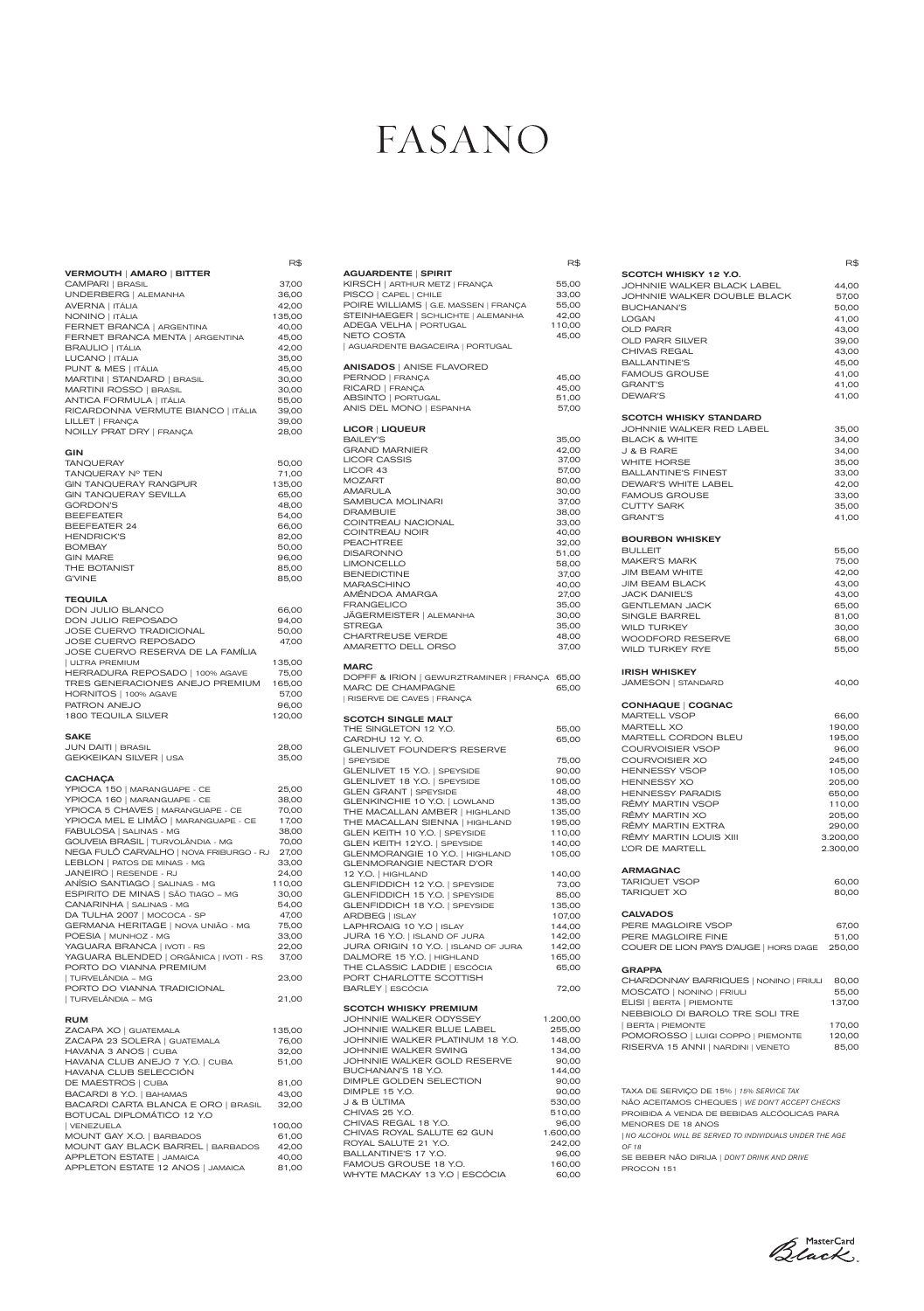|                                                                    | R\$             |
|--------------------------------------------------------------------|-----------------|
| <b>VERMOUTH   AMARO   BITTER</b>                                   |                 |
| CAMPARI   BRASIL                                                   | 37,00           |
| UNDERBERG   ALEMANHA                                               | 36,00           |
| <b>AVERNA   ITÁLIA</b><br>NONINO   ITÁLIA                          | 42,00<br>135,00 |
| FERNET BRANCA   ARGENTINA                                          | 40,00           |
| FERNET BRANCA MENTA   ARGENTINA                                    | 45,00           |
| <b>BRAULIO   ITÁLIA</b>                                            | 42,00           |
| LUCANO   ITÁLIA                                                    | 35,00           |
| PUNT & MES   ITÁLIA                                                | 45,00           |
| MARTINI   STANDARD   BRASIL                                        | 30,00           |
| MARTINI ROSSO   BRASIL                                             | 30,00           |
| <b>ANTICA FORMULA   ITÁLIA</b>                                     | 55,00           |
| RICARDONNA VERMUTE BIANCO   ITÁLIA                                 | 39,00           |
| LILLET   FRANÇA                                                    | 39,00           |
| NOILLY PRAT DRY   FRANÇA                                           | 28,00           |
|                                                                    |                 |
| <b>GIN</b>                                                         |                 |
| <b>TANQUERAY</b>                                                   | 50,00           |
| TANQUERAY Nº TEN                                                   | 71,00           |
| <b>GIN TANQUERAY RANGPUR</b><br><b>GIN TANQUERAY SEVILLA</b>       | 135,00          |
| <b>GORDON'S</b>                                                    | 65,00<br>48,00  |
| <b>BEEFEATER</b>                                                   | 54,00           |
| <b>BEEFEATER 24</b>                                                | 66,00           |
| <b>HENDRICK'S</b>                                                  | 82,00           |
| <b>BOMBAY</b>                                                      | 50,00           |
| <b>GIN MARE</b>                                                    | 96,00           |
| THE BOTANIST                                                       | 85,00           |
| <b>G'VINE</b>                                                      | 85,00           |
| TEQUILA<br>DON JULIO BLANCO<br>DON JULIO REPOSADO                  | 66,00<br>94,00  |
| <b>JOSE CUERVO TRADICIONAL</b>                                     | 50,00           |
| JOSE CUERVO REPOSADO                                               | 47,00           |
| JOSE CUERVO RESERVA DE LA FAMÍLIA                                  |                 |
| <b>ULTRA PREMIUM</b>                                               | 135,00          |
| HERRADURA REPOSADO   100% AGAVE<br>TRES GENERACIONES ANEJO PREMIUM | 75,00<br>165,00 |
| HORNITOS   100% AGAVE                                              | 57,00           |
| PATRON ANEJO                                                       | 96,00           |
| <b>1800 TEQUILA SILVER</b>                                         | 120,00          |
|                                                                    |                 |
| <b>SAKE</b>                                                        |                 |
| <b>JUN DAITI   BRASIL</b>                                          | 28,00           |
| GEKKEIKAN SILVER   USA                                             | 35,00           |
| <b>CACHAÇA</b>                                                     |                 |
| YPIOCA 150   MARANGUAPE - CE                                       | 25,00           |
| YPIOCA 160   MARANGUAPE - CE                                       | 38,00           |
| YPIOCA 5 CHAVES   MARANGUAPE - CE                                  | 70,00           |
| YPIOCA MEL E LIMÃO   MARANGUAPE - CE                               | 17,00           |
| FABULOSA   SALINAS - MG                                            | 38,00           |
| GOUVEIA BRASIL   TURVOLÂNDIA - MG                                  | 70,00           |
| NEGA FULÔ CARVALHO   NOVA FRIBURGO - RJ                            | 27,00           |
| LEBLON   PATOS DE MINAS - MG                                       | 33,00           |
| JANEIRO   RESENDE - RJ                                             | 24,00           |
| ANÍSIO SANTIAGO   SALINAS - MG                                     | 110,00          |
| ESPIRITO DE MINAS   SÃO TIAGO - MG                                 | 30,00           |
| CANARINHA   SALINAS - MG                                           | 54,00           |
| DA TULHA 2007   MOCOCA - SP<br>GERMANA HERITAGE   NOVA UNIÃO - MG  | 47,00<br>75,00  |
| POESIA   MUNHOZ - MG                                               | 33,00           |
|                                                                    |                 |

| YAGUARA BRANCA   IVOTI - RS             | 22.00 |
|-----------------------------------------|-------|
| YAGUARA BLENDED   ORGÂNICA   IVOTI - RS | 37,00 |
| PORTO DO VIANNA PREMIUM                 |       |
| TURVELÂNDIA – MG                        | 23.00 |
| PORTO DO VIANNA TRADICIONAL             |       |
| TURVELÂNDIA – MG                        | 21.00 |

## RUM

| ZACAPA XO   GUATEMALA               | 135,00 |
|-------------------------------------|--------|
| ZACAPA 23 SOLERA   GUATEMALA        | 76,00  |
| HAVANA 3 ANOS   CUBA                | 32,00  |
| HAVANA CLUB ANEJO 7 Y.O.   CUBA     | 51,00  |
| HAVANA CLUB SELECCIÓN               |        |
| DE MAESTROS   CUBA                  | 81,00  |
| BACARDI 8 Y.O.   BAHAMAS            | 43,00  |
| BACARDI CARTA BLANCA E ORO   BRASIL | 32,00  |
| BOTUCAL DIPLOMÁTICO 12 Y.O          |        |
| VENEZUELA                           | 100,00 |
| MOUNT GAY X.O.   BARBADOS           | 61,00  |
| MOUNT GAY BLACK BARREL   BARBADOS   | 42,00  |
| APPLETON ESTATE   JAMAICA           | 40,00  |
| APPLETON ESTATE 12 ANOS   JAMAICA   | 81,00  |

## FASANO

R\$

| <b>AGUARDENTE   SPIRIT</b>                                                                                 |                |
|------------------------------------------------------------------------------------------------------------|----------------|
| KIRSCH   ARTHUR METZ   FRANÇA                                                                              | 55,00          |
| PISCO   CAPEL   CHILE                                                                                      | 33,00          |
| POIRE WILLIAMS   G.E. MASSEN   FRANÇA                                                                      | 55,00          |
| STEINHAEGER   SCHLICHTE   ALEMANHA                                                                         | 42,00          |
| <b>ADEGA VELHA   PORTUGAL</b>                                                                              | 110,00         |
| NETO COSTA                                                                                                 | 45,00          |
| AGUARDENTE BAGACEIRA   PORTUGAL                                                                            |                |
| <b>ANISADOS   ANISE FLAVORED</b>                                                                           |                |
| PERNOD   FRANÇA                                                                                            | 45,00          |
| RICARD   FRANÇA                                                                                            | 45,00          |
| ABSINTO   PORTUGAL                                                                                         | 51,00          |
| ANIS DEL MONO   ESPANHA                                                                                    | 57,00          |
| <b>LICOR   LIQUEUR</b>                                                                                     |                |
| <b>BAILEY'S</b>                                                                                            | 35,00          |
| <b>GRAND MARNIER</b>                                                                                       | 42,00          |
| <b>LICOR CASSIS</b>                                                                                        | 37,00          |
| LICOR 43                                                                                                   | 57,00          |
| MOZART                                                                                                     | 80,00          |
| <b>AMARULA</b>                                                                                             | 30,00          |
| SAMBUCA MOLINARI                                                                                           | 37,00          |
| DRAMBUIE                                                                                                   | 38,00          |
| COINTREAU NACIONAL                                                                                         | 33,00          |
| <b>COINTREAU NOIR</b>                                                                                      | 40,00          |
| <b>PEACHTREE</b>                                                                                           | 32,00          |
| <b>DISARONNO</b>                                                                                           | 51,00          |
| <b>LIMONCELLO</b>                                                                                          | 58,00          |
| <b>BENEDICTINE</b>                                                                                         | 37,00          |
| <b>MARASCHINO</b>                                                                                          | 40,00          |
| AMÊNDOA AMARGA                                                                                             | 27,00          |
| <b>FRANGELICO</b>                                                                                          | 35,00          |
| JÄGERMEISTER   ALEMANHA                                                                                    | 30,00          |
| STREGA                                                                                                     | 35,00          |
| <b>CHARTREUSE VERDE</b>                                                                                    | 48,00          |
| AMARETTO DELL ORSO                                                                                         | 37,00          |
| <b>MARC</b><br>DOPFF & IRION   GEWURZTRAMINER   FRANÇA<br>MARC DE CHAMPAGNE<br>  RISERVE DE CAVES   FRANÇA | 65,00<br>65,00 |
| <b>SCOTCH SINGLE MALT</b>                                                                                  |                |
| THE SINGLETON 12 Y.O.                                                                                      | 55,00          |
| CARDHU 12 Y.O.                                                                                             | 65,00          |
| GLENLIVET FOUNDER'S RESERVE                                                                                |                |
| SPEYSIDE                                                                                                   | 75,00          |
| GLENLIVET 15 Y.O.   SPEYSIDE                                                                               | 90,00          |
| GLENLIVET 18 Y.O.   SPEYSIDE                                                                               | 105,00         |
| GLEN GRANT   SPEYSIDE                                                                                      | 48,00          |
| GLENKINCHIE 10 Y.O.   LOWLAND                                                                              | 135,00         |
| THE MACALLAN AMBER   HIGHLAND                                                                              | 135,00         |
| THE MACALLAN SIENNA   HIGHLAND                                                                             | 195,00         |
| GLEN KEITH 10 Y.O.   SPEYSIDE                                                                              | 110,00         |
| GLEN KEITH 12Y.O.   SPEYSIDE                                                                               | 140,00         |
| GLENMORANGIE 10 Y.O.   HIGHLAND                                                                            | 105,00         |
| <b>GLENMORANGIE NECTAR D'OR</b>                                                                            |                |
| 12 Y.O.   HIGHLAND                                                                                         | 140,00         |
| GLENFIDDICH 12 Y.O.   SPEYSIDE                                                                             | 73,00          |
| GLENFIDDICH 15 Y.O.   SPEYSIDE                                                                             | 85,00          |
| GLENFIDDICH 18 Y.O.   SPEYSIDE                                                                             | 135,00         |
| ARDBEG   ISLAY                                                                                             | 107,00         |
| LAPHROAIG 10 Y.O   ISLAY                                                                                   | 144,00         |
| JURA 16 Y.O.   ISLAND OF JURA                                                                              | 142,00         |
| JURA ORIGIN 10 Y.O.   ISLAND OF JURA                                                                       | 142,00         |
| DALMORE 15 Y.O.   HIGHLAND                                                                                 | 165,00         |
| THE CLASSIC LADDIE   ESCÓCIA                                                                               | 65,00          |
| PORT CHARLOTTE SCOTTISH                                                                                    |                |
| BARLEY   ESCÓCIA                                                                                           | 72,00          |
|                                                                                                            |                |

#### SCOTCH WHISKY PREMIUM

| JOHNNIE WALKER ODYSSEY          | 1.200,00 |
|---------------------------------|----------|
| JOHNNIE WALKER BLUE LABEL       | 255,00   |
| JOHNNIE WALKER PLATINUM 18 Y.O. | 148,00   |
| JOHNNIE WALKER SWING            | 134,00   |
| JOHNNIE WALKER GOLD RESERVE     | 90,00    |
| BUCHANAN'S 18 Y.O.              | 144,00   |
| DIMPLE GOLDEN SELECTION         | 90,00    |
| DIMPLE 15 Y.O.                  | 90,00    |
| J & B ÚLTIMA                    | 530,00   |
| CHIVAS 25 Y.O.                  | 510.00   |
| CHIVAS REGAL 18 Y.O.            | 96,00    |
| CHIVAS ROYAL SALUTE 62 GUN      | 1.600,00 |
| ROYAL SALUTE 21 Y.O.            | 242.00   |
| BALLANTINE'S 17 Y.O.            | 96,00    |
| FAMOUS GROUSE 18 Y.O.           | 160,00   |
| WHYTE MACKAY 13 Y.O   ESCÓCIA   | 60.00    |

|                                        | R\$      |
|----------------------------------------|----------|
| SCOTCH WHISKY 12 Y.O.                  |          |
| JOHNNIE WALKER BLACK LABEL             | 44,00    |
| JOHNNIE WALKER DOUBLE BLACK            | 57,00    |
| <b>BUCHANAN'S</b>                      | 50,00    |
| <b>LOGAN</b>                           | 41,00    |
| <b>OLD PARR</b>                        | 43,00    |
| <b>OLD PARR SILVER</b>                 | 39,00    |
| <b>CHIVAS REGAL</b>                    |          |
|                                        | 43,00    |
| <b>BALLANTINE'S</b>                    | 45,00    |
| <b>FAMOUS GROUSE</b>                   | 41,00    |
| <b>GRANT'S</b>                         | 41,00    |
| DEWAR'S                                | 41,00    |
| <b>SCOTCH WHISKY STANDARD</b>          |          |
| JOHNNIE WALKER RED LABEL               | 35,00    |
| <b>BLACK &amp; WHITE</b>               | 34,00    |
| J & B RARE                             | 34,00    |
| <b>WHITE HORSE</b>                     | 35,00    |
| <b>BALLANTINE'S FINEST</b>             | 33,00    |
|                                        |          |
| DEWAR'S WHITE LABEL                    | 42,00    |
| <b>FAMOUS GROUSE</b>                   | 33,00    |
| <b>CUTTY SARK</b>                      | 35,00    |
| <b>GRANT'S</b>                         | 41,00    |
| <b>BOURBON WHISKEY</b>                 |          |
| <b>BULLEIT</b>                         | 55,00    |
| <b>MAKER'S MARK</b>                    | 75,00    |
| <b>JIM BEAM WHITE</b>                  | 42,00    |
| <b>JIM BEAM BLACK</b>                  | 43,00    |
| <b>JACK DANIEL'S</b>                   | 43,00    |
|                                        |          |
| <b>GENTLEMAN JACK</b>                  | 65,00    |
| SINGLE BARREL                          | 81,00    |
| <b>WILD TURKEY</b>                     | 30,00    |
| <b>WOODFORD RESERVE</b>                | 68,00    |
| <b>WILD TURKEY RYE</b>                 | 55,00    |
| <b>IRISH WHISKEY</b>                   |          |
| JAMESON   STANDARD                     | 40,00    |
| <b>CONHAQUE   COGNAC</b>               |          |
| <b>MARTELL VSOP</b>                    | 66,00    |
| MARTELL XO                             |          |
|                                        | 190,00   |
| MARTELL CORDON BLEU                    | 195,00   |
| <b>COURVOISIER VSOP</b>                | 96,00    |
| COURVOISIER XO                         | 245,00   |
| <b>HENNESSY VSOP</b>                   | 105,00   |
| <b>HENNESSY XO</b>                     | 205,00   |
| <b>HENNESSY PARADIS</b>                | 650,00   |
| RÊMY MARTIN VSOP                       | 110,00   |
| RÊMY MARTIN XO                         | 205,00   |
| RÊMY MARTIN EXTRA                      | 290,00   |
| RÊMY MARTIN LOUIS XIII                 | 3.200,00 |
| L'OR DE MARTELL                        | 2.300,00 |
|                                        |          |
| <b>ARMAGNAC</b>                        |          |
| <b>TARIQUET VSOP</b>                   | 60,00    |
| <b>TARIQUET XO</b>                     | 80,00    |
| <b>CALVADOS</b>                        |          |
| PERE MAGLOIRE VSOP                     | 67,00    |
| PERE MAGLOIRE FINE                     | 51,00    |
| COUER DE LION PAYS D'AUGE   HORS D'AGE | 250,00   |

#### GRAPPA

| CHARDONNAY BARRIQUES   NONINO   FRIULI | 80,00  |
|----------------------------------------|--------|
| MOSCATO   NONINO   FRIULI              | 55,00  |
| ELISI   BERTA   PIEMONTE               | 137,00 |
| NEBBIOLO DI BAROLO TRE SOLI TRE        |        |
| BERTA   PIEMONTE                       | 170,00 |
| POMOROSSO   LUIGI COPPO   PIEMONTE     | 120.00 |
| RISERVA 15 ANNI   NARDINI   VENETO     | 85.00  |
|                                        |        |

#### TAXA DE SERVIÇO DE 15% | *15% SERVICE TAX* NÃO ACEITAMOS CHEQUES | *WE DON'T ACCEPT CHECKS* PROIBIDA A VENDA DE BEBIDAS ALCÓOLICAS PARA MENORES DE 18 ANOS *| NO ALCOHOL WILL BE SERVED TO INDIVIDUALS UNDER THE AGE OF 18* SE BEBER NÃO DIRIJA | *DON'T DRINK AND DRIVE*

PROCON 151

Black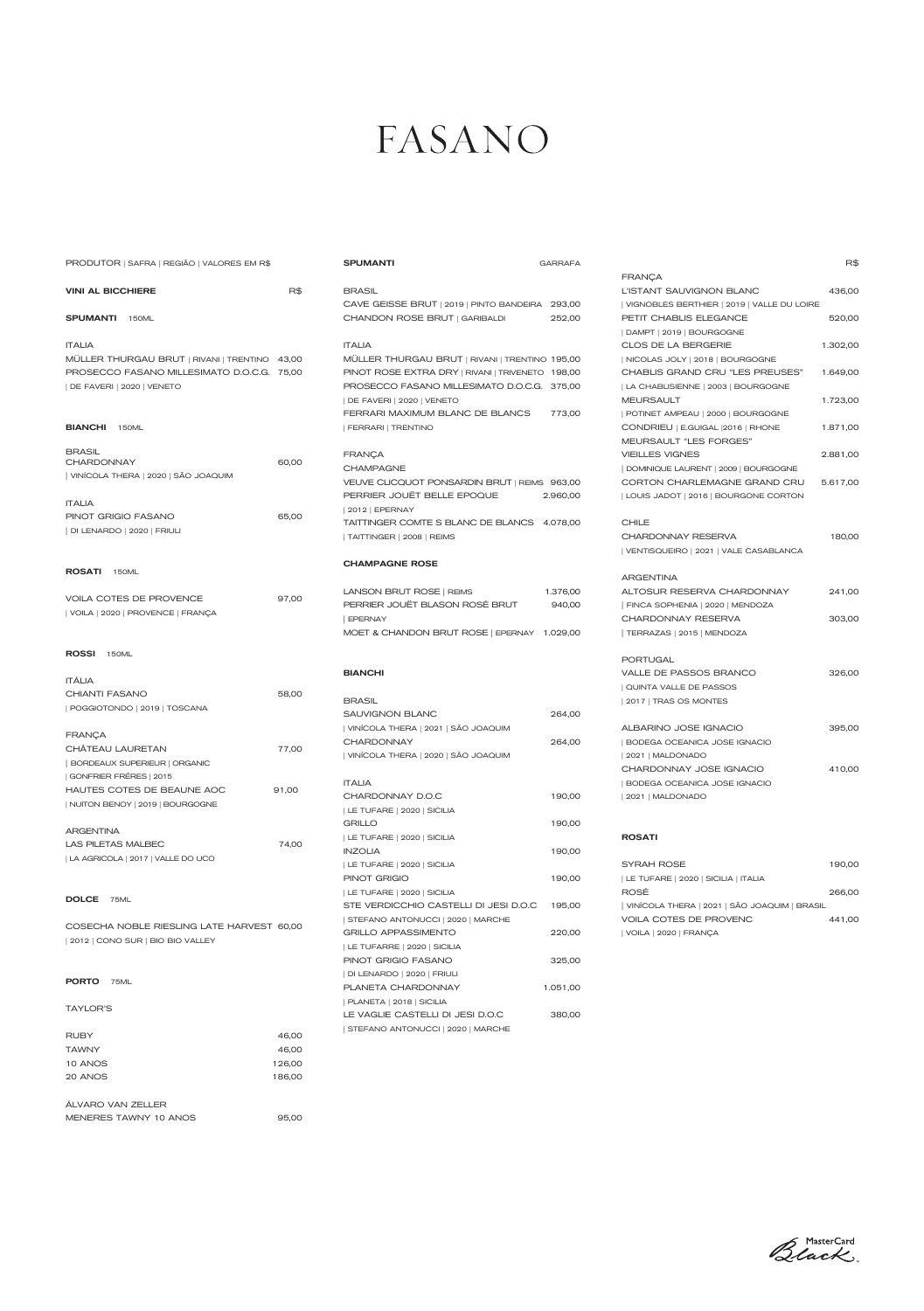| 2012 | CONO SUR | BIO BIO VALLEY

|                       |        | LE TUFARRE   2020   SICILIA       |          |
|-----------------------|--------|-----------------------------------|----------|
|                       |        | PINOT GRIGIO FASANO               | 325,00   |
| <b>PORTO</b>          |        | DI LENARDO   2020   FRIULI        |          |
| 75ML                  |        | PLANETA CHARDONNAY                | 1.051,00 |
|                       |        | PLANETA   2018   SICILIA          |          |
| <b>TAYLOR'S</b>       |        | LE VAGLIE CASTELLI DI JESI D.O.C  | 380,00   |
| <b>RUBY</b>           | 46,00  | STEFANO ANTONUCCI   2020   MARCHE |          |
|                       |        |                                   |          |
| <b>TAWNY</b>          | 46,00  |                                   |          |
| 10 ANOS               | 126,00 |                                   |          |
| 20 ANOS               | 186,00 |                                   |          |
|                       |        |                                   |          |
| ÁLVARO VAN ZELLER     |        |                                   |          |
| MENERES TAWNY 10 ANOS | 95,00  |                                   |          |

Black

# FASANO

| PRODUTOR   SAFRA   REGIÃO   VALORES EM R\$    |       | <b>SPUMANTI</b>                                          | <b>GARRAFA</b> |                                              | R\$      |
|-----------------------------------------------|-------|----------------------------------------------------------|----------------|----------------------------------------------|----------|
|                                               |       |                                                          |                | <b>FRANÇA</b>                                |          |
| <b>VINI AL BICCHIERE</b>                      | R\$   | <b>BRASIL</b>                                            |                | L'ISTANT SAUVIGNON BLANC                     | 436,00   |
|                                               |       | CAVE GEISSE BRUT   2019   PINTO BANDEIRA 293,00          |                | VIGNOBLES BERTHIER   2019   VALLE DU LOIRE   |          |
| <b>SPUMANTI</b> 150ML                         |       | CHANDON ROSE BRUT   GARIBALDI                            | 252,00         | PETIT CHABLIS ELEGANCE                       | 520,00   |
|                                               |       |                                                          |                | DAMPT   2019   BOURGOGNE                     |          |
| <b>ITALIA</b>                                 |       | <b>ITALIA</b>                                            |                | CLOS DE LA BERGERIE                          | 1.302,00 |
| MÜLLER THURGAU BRUT   RIVANI   TRENTINO 43,00 |       | MÜLLER THURGAU BRUT   RIVANI   TRENTINO 195,00           |                | NICOLAS JOLY   2018   BOURGOGNE              |          |
| PROSECCO FASANO MILLESIMATO D.O.C.G. 75,00    |       | PINOT ROSE EXTRA DRY   RIVANI   TRIVENETO 198,00         |                | CHABLIS GRAND CRU "LES PREUSES"              | 1.649,00 |
| DE FAVERI   2020   VENETO                     |       | PROSECCO FASANO MILLESIMATO D.O.C.G. 375,00              |                | LA CHABLISIENNE   2003   BOURGOGNE           |          |
|                                               |       | DE FAVERI   2020   VENETO                                |                | <b>MEURSAULT</b>                             | 1.723,00 |
|                                               |       | FERRARI MAXIMUM BLANC DE BLANCS                          | 773,00         | POTINET AMPEAU   2000   BOURGOGNE            |          |
| <b>BIANCHI</b> 150ML                          |       | FERRARI   TRENTINO                                       |                | CONDRIEU   E.GUIGAL   2016   RHONE           | 1.871,00 |
|                                               |       |                                                          |                | MEURSAULT "LES FORGES"                       |          |
| <b>BRASIL</b>                                 |       | <b>FRANÇA</b>                                            |                | <b>VIEILLES VIGNES</b>                       | 2.881,00 |
| <b>CHARDONNAY</b>                             | 60,00 | <b>CHAMPAGNE</b>                                         |                | DOMINIQUE LAURENT   2009   BOURGOGNE         |          |
| VINÍCOLA THERA   2020   SÃO JOAQUIM           |       | VEUVE CLICQUOT PONSARDIN BRUT   REIMS 963,00             |                | CORTON CHARLEMAGNE GRAND CRU                 | 5.617,00 |
|                                               |       | PERRIER JOUËT BELLE EPOQUE                               | 2.960,00       | LOUIS JADOT   2016   BOURGONE CORTON         |          |
| <b>ITALIA</b>                                 |       | 2012   EPERNAY                                           |                |                                              |          |
| PINOT GRIGIO FASANO                           | 65,00 | TAITTINGER COMTE S BLANC DE BLANCS 4.078.00              |                | <b>CHILE</b>                                 |          |
| DI LENARDO   2020   FRIULI                    |       | TAITTINGER   2008   REIMS                                |                | CHARDONNAY RESERVA                           | 180,00   |
|                                               |       |                                                          |                | VENTISQUEIRO   2021   VALE CASABLANCA        |          |
|                                               |       | <b>CHAMPAGNE ROSE</b>                                    |                |                                              |          |
| ROSATI 150ML                                  |       |                                                          |                | <b>ARGENTINA</b>                             |          |
|                                               |       | LANSON BRUT ROSE   REIMS                                 | 1.376,00       | ALTOSUR RESERVA CHARDONNAY                   | 241,00   |
| <b>VOILA COTES DE PROVENCE</b>                | 97,00 | PERRIER JOUËT BLASON ROSÉ BRUT                           | 940,00         | FINCA SOPHENIA   2020   MENDOZA              |          |
| VOILA   2020   PROVENCE   FRANÇA              |       | <b>EPERNAY</b>                                           |                | CHARDONNAY RESERVA                           | 303,00   |
|                                               |       | MOET & CHANDON BRUT ROSE   EPERNAY 1.029,00              |                | TERRAZAS   2015   MENDOZA                    |          |
|                                               |       |                                                          |                |                                              |          |
| ROSSI 150ML                                   |       |                                                          |                | <b>PORTUGAL</b>                              |          |
|                                               |       | <b>BIANCHI</b>                                           |                | VALLE DE PASSOS BRANCO                       | 326,00   |
| <b>ITALIA</b>                                 |       |                                                          |                | QUINTA VALLE DE PASSOS                       |          |
| <b>CHIANTI FASANO</b>                         | 58,00 | <b>BRASIL</b>                                            |                | 2017   TRAS OS MONTES                        |          |
| POGGIOTONDO   2019   TOSCANA                  |       | <b>SAUVIGNON BLANC</b>                                   | 264,00         |                                              |          |
|                                               |       |                                                          |                | ALBARINO JOSE IGNACIO                        |          |
| <b>FRANÇA</b>                                 |       | VINÍCOLA THERA   2021   SÃO JOAQUIM<br><b>CHARDONNAY</b> | 264,00         |                                              | 395,00   |
| CHÂTEAU LAURETAN                              | 77,00 |                                                          |                | BODEGA OCEANICA JOSE IGNACIO                 |          |
| BORDEAUX SUPERIEUR   ORGANIC                  |       | VINÍCOLA THERA   2020   SÃO JOAQUIM                      |                | 2021   MALDONADO                             |          |
| GONFRIER FRÉRES   2015                        |       |                                                          |                | CHARDONNAY JOSE IGNACIO                      | 410,00   |
| HAUTES COTES DE BEAUNE AOC                    | 91,00 | <b>ITALIA</b>                                            |                | BODEGA OCEANICA JOSE IGNACIO                 |          |
| NUITON BENOY   2019   BOURGOGNE               |       | CHARDONNAY D.O.C                                         | 190,00         | 2021   MALDONADO                             |          |
|                                               |       | LE TUFARE   2020   SICILIA                               |                |                                              |          |
| <b>ARGENTINA</b>                              |       | <b>GRILLO</b>                                            | 190,00         |                                              |          |
| LAS PILETAS MALBEC                            | 74,00 | LE TUFARE   2020   SICILIA                               |                | <b>ROSATI</b>                                |          |
| LA AGRICOLA   2017   VALLE DO UCO             |       | <b>INZOLIA</b>                                           | 190,00         |                                              |          |
|                                               |       | LE TUFARE   2020   SICILIA                               |                | SYRAH ROSE                                   | 190,00   |
|                                               |       | PINOT GRIGIO                                             | 190,00         | LE TUFARE   2020   SICILIA   ITALIA          |          |
| DOLCE 75ML                                    |       | LE TUFARE   2020   SICILIA                               |                | ROSÉ                                         | 266,00   |
|                                               |       | STE VERDICCHIO CASTELLI DI JESI D.O.C                    | 195,00         | VINÍCOLA THERA   2021   SÃO JOAQUIM   BRASIL |          |
| COSECHA NOBLE RIESLING LATE HARVEST 60,00     |       | STEFANO ANTONUCCI   2020   MARCHE                        |                | VOILA COTES DE PROVENC                       | 441,00   |
|                                               |       | <b>GRILLO APPASSIMENTO</b>                               | 220,00         | VOILA   2020   FRANÇA                        |          |